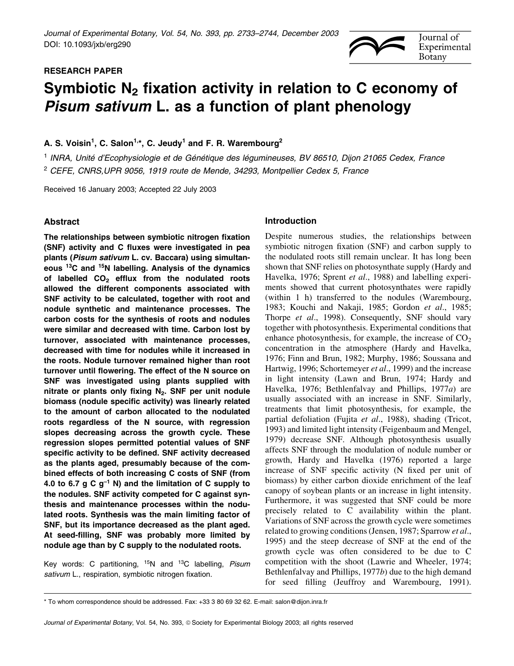# RESEARCH PAPER



# Symbiotic  $N_2$  fixation activity in relation to C economy of Pisum sativum L. as a function of plant phenology

A. S. Voisin<sup>1</sup>, C. Salon<sup>1,\*</sup>, C. Jeudy<sup>1</sup> and F. R. Warembourg<sup>2</sup>

<sup>1</sup> INRA, Unité d'Ecophysiologie et de Génétique des léaumineuses, BV 86510, Dijon 21065 Cedex, France <sup>2</sup> CEFE, CNRS,UPR 9056, 1919 route de Mende, 34293, Montpellier Cedex 5, France

Received 16 January 2003; Accepted 22 July 2003

# Abstract

The relationships between symbiotic nitrogen fixation (SNF) activity and C fluxes were investigated in pea plants (Pisum sativum L. cv. Baccara) using simultaneous 13C and 15N labelling. Analysis of the dynamics of labelled  $CO<sub>2</sub>$  efflux from the nodulated roots allowed the different components associated with SNF activity to be calculated, together with root and nodule synthetic and maintenance processes. The carbon costs for the synthesis of roots and nodules were similar and decreased with time. Carbon lost by turnover, associated with maintenance processes, decreased with time for nodules while it increased in the roots. Nodule turnover remained higher than root turnover until flowering. The effect of the N source on SNF was investigated using plants supplied with nitrate or plants only fixing  $N_2$ . SNF per unit nodule biomass (nodule specific activity) was linearly related to the amount of carbon allocated to the nodulated roots regardless of the N source, with regression slopes decreasing across the growth cycle. These regression slopes permitted potential values of SNF specific activity to be defined. SNF activity decreased as the plants aged, presumably because of the combined effects of both increasing C costs of SNF (from 4.0 to 6.7 g C  $g^{-1}$  N) and the limitation of C supply to the nodules. SNF activity competed for C against synthesis and maintenance processes within the nodulated roots. Synthesis was the main limiting factor of SNF, but its importance decreased as the plant aged. At seed-filling, SNF was probably more limited by nodule age than by C supply to the nodulated roots.

Key words: C partitioning,  $15N$  and  $13C$  labelling, Pisum sativum L., respiration, symbiotic nitrogen fixation.

# Introduction

Despite numerous studies, the relationships between symbiotic nitrogen fixation (SNF) and carbon supply to the nodulated roots still remain unclear. It has long been shown that SNF relies on photosynthate supply (Hardy and Havelka, 1976; Sprent et al., 1988) and labelling experiments showed that current photosynthates were rapidly (within 1 h) transferred to the nodules (Warembourg, 1983; Kouchi and Nakaji, 1985; Gordon et al., 1985; Thorpe et al., 1998). Consequently, SNF should vary together with photosynthesis. Experimental conditions that enhance photosynthesis, for example, the increase of  $CO<sub>2</sub>$ concentration in the atmosphere (Hardy and Havelka, 1976; Finn and Brun, 1982; Murphy, 1986; Soussana and Hartwig, 1996; Schortemeyer *et al.*, 1999) and the increase in light intensity (Lawn and Brun, 1974; Hardy and Havelka, 1976; Bethlenfalvay and Phillips, 1977a) are usually associated with an increase in SNF. Similarly, treatments that limit photosynthesis, for example, the partial defoliation (Fujita et al., 1988), shading (Tricot, 1993) and limited light intensity (Feigenbaum and Mengel, 1979) decrease SNF. Although photosynthesis usually affects SNF through the modulation of nodule number or growth, Hardy and Havelka (1976) reported a large increase of SNF specific activity (N fixed per unit of biomass) by either carbon dioxide enrichment of the leaf canopy of soybean plants or an increase in light intensity. Furthermore, it was suggested that SNF could be more precisely related to C availability within the plant. Variations of SNF across the growth cycle were sometimes related to growing conditions (Jensen, 1987; Sparrow et al., 1995) and the steep decrease of SNF at the end of the growth cycle was often considered to be due to C competition with the shoot (Lawrie and Wheeler, 1974; Bethlenfalvay and Phillips, 1977b) due to the high demand for seed filling (Jeuffroy and Warembourg, 1991).

<sup>\*</sup> To whom correspondence should be addressed. Fax: +33 3 80 69 32 62. E-mail: salon@dijon.inra.fr

Journal of Experimental Botany, Vol. 54, No. 393, © Society for Experimental Biology 2003; all rights reserved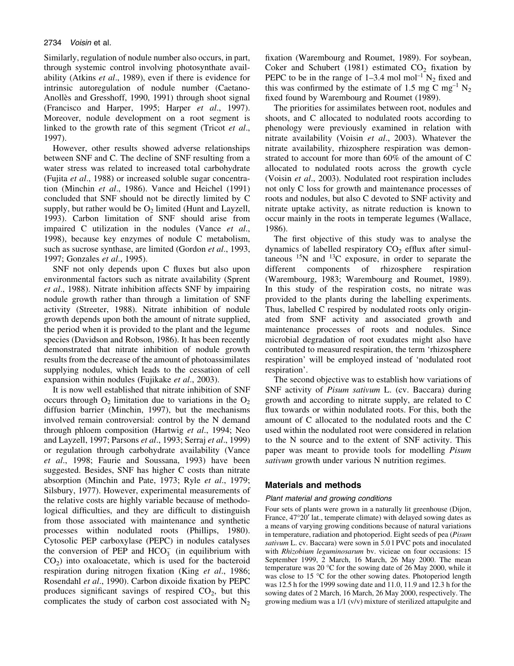Similarly, regulation of nodule number also occurs, in part, through systemic control involving photosynthate availability (Atkins et al., 1989), even if there is evidence for intrinsic autoregulation of nodule number (Caetano-Anollès and Gresshoff, 1990, 1991) through shoot signal (Francisco and Harper, 1995; Harper et al., 1997). Moreover, nodule development on a root segment is linked to the growth rate of this segment (Tricot et al., 1997).

However, other results showed adverse relationships between SNF and C. The decline of SNF resulting from a water stress was related to increased total carbohydrate (Fujita et al., 1988) or increased soluble sugar concentration (Minchin et al., 1986). Vance and Heichel (1991) concluded that SNF should not be directly limited by C supply, but rather would be  $O<sub>2</sub>$  limited (Hunt and Layzell, 1993). Carbon limitation of SNF should arise from impaired C utilization in the nodules (Vance et al., 1998), because key enzymes of nodule C metabolism, such as sucrose synthase, are limited (Gordon et al., 1993, 1997; Gonzales et al., 1995).

SNF not only depends upon C fluxes but also upon environmental factors such as nitrate availability (Sprent et al., 1988). Nitrate inhibition affects SNF by impairing nodule growth rather than through a limitation of SNF activity (Streeter, 1988). Nitrate inhibition of nodule growth depends upon both the amount of nitrate supplied, the period when it is provided to the plant and the legume species (Davidson and Robson, 1986). It has been recently demonstrated that nitrate inhibition of nodule growth results from the decrease of the amount of photoassimilates supplying nodules, which leads to the cessation of cell expansion within nodules (Fujikake et al., 2003).

It is now well established that nitrate inhibition of SNF occurs through  $O_2$  limitation due to variations in the  $O_2$ diffusion barrier (Minchin, 1997), but the mechanisms involved remain controversial: control by the N demand through phloem composition (Hartwig et al., 1994; Neo and Layzell, 1997; Parsons et al., 1993; Serraj et al., 1999) or regulation through carbohydrate availability (Vance et al., 1998; Faurie and Soussana, 1993) have been suggested. Besides, SNF has higher C costs than nitrate absorption (Minchin and Pate, 1973; Ryle et al., 1979; Silsbury, 1977). However, experimental measurements of the relative costs are highly variable because of methodological difficulties, and they are difficult to distinguish from those associated with maintenance and synthetic processes within nodulated roots (Phillips, 1980). Cytosolic PEP carboxylase (PEPC) in nodules catalyses the conversion of PEP and  $HCO<sub>3</sub><sup>-</sup>$  (in equilibrium with  $CO<sub>2</sub>$ ) into oxaloacetate, which is used for the bacteroid respiration during nitrogen fixation (King et al., 1986; Rosendahl et al., 1990). Carbon dixoide fixation by PEPC produces significant savings of respired  $CO<sub>2</sub>$ , but this complicates the study of carbon cost associated with  $N_2$ 

fixation (Warembourg and Roumet, 1989). For soybean, Coker and Schubert (1981) estimated  $CO<sub>2</sub>$  fixation by PEPC to be in the range of  $1-3.4$  mol mol<sup>-1</sup> N<sub>2</sub> fixed and this was confirmed by the estimate of 1.5 mg C mg<sup>-1</sup> N<sub>2</sub> fixed found by Warembourg and Roumet (1989).

The priorities for assimilates between root, nodules and shoots, and C allocated to nodulated roots according to phenology were previously examined in relation with nitrate availability (Voisin et al., 2003). Whatever the nitrate availability, rhizosphere respiration was demonstrated to account for more than 60% of the amount of C allocated to nodulated roots across the growth cycle (Voisin et al., 2003). Nodulated root respiration includes not only C loss for growth and maintenance processes of roots and nodules, but also C devoted to SNF activity and nitrate uptake activity, as nitrate reduction is known to occur mainly in the roots in temperate legumes (Wallace, 1986).

The first objective of this study was to analyse the dynamics of labelled respiratory  $CO<sub>2</sub>$  efflux after simultaneous  $^{15}N$  and  $^{13}C$  exposure, in order to separate the different components of rhizosphere respiration (Warembourg, 1983; Warembourg and Roumet, 1989). In this study of the respiration costs, no nitrate was provided to the plants during the labelling experiments. Thus, labelled C respired by nodulated roots only originated from SNF activity and associated growth and maintenance processes of roots and nodules. Since microbial degradation of root exudates might also have contributed to measured respiration, the term `rhizosphere respiration' will be employed instead of `nodulated root respiration'.

The second objective was to establish how variations of SNF activity of Pisum sativum L. (cv. Baccara) during growth and according to nitrate supply, are related to C flux towards or within nodulated roots. For this, both the amount of C allocated to the nodulated roots and the C used within the nodulated root were considered in relation to the N source and to the extent of SNF activity. This paper was meant to provide tools for modelling Pisum sativum growth under various N nutrition regimes.

# Materials and methods

#### Plant material and growing conditions

Four sets of plants were grown in a naturally lit greenhouse (Dijon, France,  $47^{\circ}20'$  lat., temperate climate) with delayed sowing dates as a means of varying growing conditions because of natural variations in temperature, radiation and photoperiod. Eight seeds of pea (Pisum sativum L. cv. Baccara) were sown in 5.0 l PVC pots and inoculated with Rhizobium leguminosarum bv. vicieae on four occasions: 15 September 1999, 2 March, 16 March, 26 May 2000. The mean temperature was 20 °C for the sowing date of 26 May 2000, while it was close to 15 °C for the other sowing dates. Photoperiod length was 12.5 h for the 1999 sowing date and 11.0, 11.9 and 12.3 h for the sowing dates of 2 March, 16 March, 26 May 2000, respectively. The growing medium was a 1/1 (v/v) mixture of sterilized attapulgite and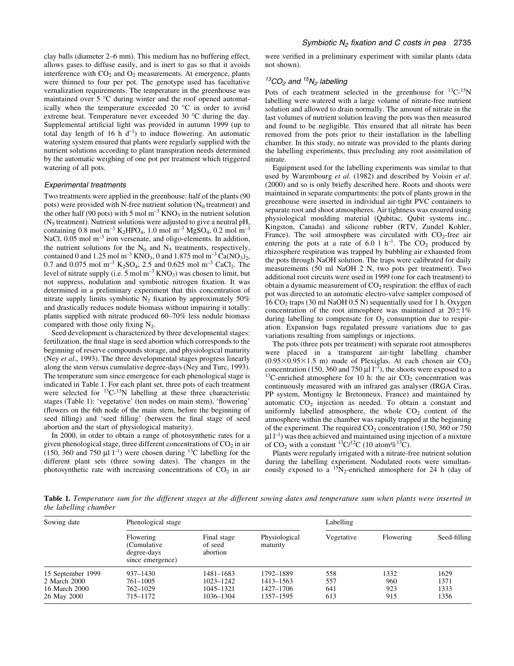clay balls (diameter 2–6 mm). This medium has no buffering effect, allows gases to diffuse easily, and is inert to gas so that it avoids interference with  $CO<sub>2</sub>$  and  $O<sub>2</sub>$  measurements. At emergence, plants were thinned to four per pot. The genotype used has facultative vernalization requirements. The temperature in the greenhouse was maintained over 5 °C during winter and the roof opened automatically when the temperature exceeded 20 °C in order to avoid extreme heat. Temperature never exceeded 30 °C during the day. Supplemental artificial light was provided in autumn 1999 (up to total day length of 16 h  $d^{-1}$ ) to induce flowering. An automatic watering system ensured that plants were regularly supplied with the nutrient solutions according to plant transpiration needs determined by the automatic weighing of one pot per treatment which triggered watering of all pots.

#### Experimental treatments

Two treatments were applied in the greenhouse: half of the plants (90 pots) were provided with N-free nutrient solution  $(N_0$  treatment) and the other half (90 pots) with 5 mol  $m^{-3}$  KNO<sub>3</sub> in the nutrient solution  $(N<sub>5</sub> treatment)$ . Nutrient solutions were adjusted to give a neutral pH, containing 0.8 mol m<sup>-3</sup> K<sub>2</sub>HPO<sub>4</sub>, 1.0 mol m<sup>-3</sup> MgSO<sub>4</sub>, 0.2 mol m<sup>-3</sup> NaCl,  $0.05$  mol m<sup>-3</sup> iron versenate, and oligo-elements. In addition, the nutrient solutions for the  $N_0$  and  $N_5$  treatments, respectively, contained 0 and 1.25 mol m<sup>-3</sup> KNO<sub>3</sub>, 0 and 1.875 mol m<sup>-3</sup> Ca(NO<sub>3</sub>)<sub>2</sub>, 0.7 and 0.075 mol m<sup>-3</sup> K<sub>2</sub>SO<sub>4</sub>, 2.5 and 0.625 mol m<sup>-3</sup> CaCl<sub>2</sub>. The level of nitrate supply (i.e. 5 mol  $m^{-3}$  KNO<sub>3</sub>) was chosen to limit, but not suppress, nodulation and symbiotic nitrogen fixation. It was determined in a preliminary experiment that this concentration of nitrate supply limits symbiotic  $N_2$  fixation by approximately 50% and drastically reduces nodule biomass without impairing it totally: plants supplied with nitrate produced 60-70% less nodule biomass compared with those only fixing  $N_2$ .

Seed development is characterized by three developmental stages: fertilization, the final stage in seed abortion which corresponds to the beginning of reserve compounds storage, and physiological maturity (Ney et al., 1993). The three developmental stages progress linearly along the stem versus cumulative degree-days (Ney and Turc, 1993). The temperature sum since emergence for each phenological stage is indicated in Table 1. For each plant set, three pots of each treatment were selected for  ${}^{13}C_1{}^{15}N$  labelling at these three characteristic stages (Table 1): 'vegetative' (ten nodes on main stem), 'flowering' (flowers on the 6th node of the main stem, before the beginning of seed filling) and 'seed filling' (between the final stage of seed abortion and the start of physiological maturity).

In 2000, in order to obtain a range of photosynthetic rates for a given phenological stage, three different concentrations of  $CO<sub>2</sub>$  in air (150, 360 and 750  $\mu$ l l<sup>-1</sup>) were chosen during <sup>13</sup>C labelling for the different plant sets (three sowing dates). The changes in the photosynthetic rate with increasing concentrations of  $CO<sub>2</sub>$  in air

were verified in a preliminary experiment with similar plants (data not shown).

## $13CO<sub>2</sub>$  and  $15N<sub>2</sub>$  labelling

Pots of each treatment selected in the greenhouse for  ${}^{13}C_{1}{}^{15}N$ labelling were watered with a large volume of nitrate-free nutrient solution and allowed to drain normally. The amount of nitrate in the last volumes of nutrient solution leaving the pots was then measured and found to be negligible. This ensured that all nitrate has been removed from the pots prior to their installation in the labelling chamber. In this study, no nitrate was provided to the plants during the labelling experiments, thus precluding any root assimilation of nitrate.

Equipment used for the labelling experiments was similar to that used by Warembourg et al. (1982) and described by Voisin et al. (2000) and so is only briefly described here. Roots and shoots were maintained in separate compartments: the pots of plants grown in the greenhouse were inserted in individual air-tight PVC containers to separate root and shoot atmospheres. Air tightness was ensured using physiological moulding material (Qubitac, Qubit systems inc., Kingston, Canada) and silicone rubber (RTV, Zundel Kohler, France). The soil atmosphere was circulated with  $CO<sub>2</sub>$ -free air entering the pots at a rate of 6.0 l  $h^{-1}$ . The CO<sub>2</sub> produced by rhizosphere respiration was trapped by bubbling air exhausted from the pots through NaOH solution. The traps were calibrated for daily measurements (50 ml NaOH 2 N, two pots per treatment). Two additional root circuits were used in 1999 (one for each treatment) to obtain a dynamic measurement of  $CO<sub>2</sub>$  respiration: the efflux of each pot was directed to an automatic electro-valve sampler composed of  $16 \text{ CO}_2$  traps (30 ml NaOH 0.5 N) sequentially used for 1 h. Oxygen concentration of the root atmosphere was maintained at  $20 \pm 1\%$ during labelling to compensate for  $O_2$  consumption due to respiration. Expansion bags regulated pressure variations due to gas variations resulting from samplings or injections.

The pots (three pots per treatment) with separate root atmospheres were placed in a transparent air-tight labelling chamber  $(0.95\times0.95\times1.5$  m) made of Plexiglas. At each chosen air CO<sub>2</sub> concentration (150, 360 and 750  $\mu$ l l<sup>-1</sup>), the shoots were exposed to a <sup>13</sup>C-enriched atmosphere for 10 h: the air CO<sub>2</sub> concentration was continuously measured with an infrared gas analyser (IRGA Ciras, PP system, Montigny le Bretonneux, France) and maintained by automatic  $CO<sub>2</sub>$  injection as needed. To obtain a constant and uniformly labelled atmosphere, the whole  $CO<sub>2</sub>$  content of the atmosphere within the chamber was rapidly trapped at the beginning of the experiment. The required  $CO<sub>2</sub>$  concentration (150, 360 or 750)  $\mu$ l l<sup>-1</sup>) was then achieved and maintained using injection of a mixture of  $CO_2$  with a constant <sup>13</sup>C/<sup>12</sup>C (10 atom%<sup>13</sup>C).

Plants were regularly irrigated with a nitrate-free nutrient solution during the labelling experiment. Nodulated roots were simultaneously exposed to a  $15N_2$ -enriched atmosphere for 24 h (day of

Table 1. Temperature sum for the different stages at the different sowing dates and temperature sum when plants were inserted in the labelling chamber

| Sowing date                                                       | Phenological stage                                          |                                                  |                                                  | Labelling                |                           |                              |
|-------------------------------------------------------------------|-------------------------------------------------------------|--------------------------------------------------|--------------------------------------------------|--------------------------|---------------------------|------------------------------|
|                                                                   | Flowering<br>(Cumulative<br>degree-days<br>since emergence) | Final stage<br>of seed<br>abortion               | Physiological<br>maturity                        | Vegetative               | Flowering                 | Seed-filling                 |
| 15 September 1999<br>2 March 2000<br>16 March 2000<br>26 May 2000 | $937 - 1430$<br>761–1005<br>762-1029<br>715–1172            | 1481-1683<br>1023-1242<br>1045–1321<br>1036-1304 | 1792–1889<br>1413–1563<br>1427-1706<br>1357–1595 | 558<br>557<br>641<br>613 | 1332<br>960<br>923<br>915 | 1629<br>1371<br>1333<br>1356 |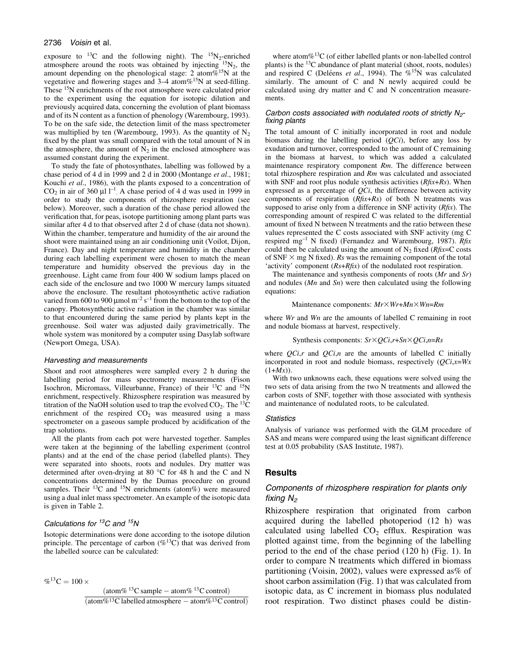exposure to <sup>13</sup>C and the following night). The <sup>15</sup>N<sub>2</sub>-enriched atmosphere around the roots was obtained by injecting  $15N_2$ , the amount depending on the phenological stage: 2 atom%<sup>15</sup>N at the vegetative and flowering stages and  $3-4$  atom $% ^{15}N$  at seed-filling. These <sup>15</sup>N enrichments of the root atmosphere were calculated prior to the experiment using the equation for isotopic dilution and previously acquired data, concerning the evolution of plant biomass and of its N content as a function of phenology (Warembourg, 1993). To be on the safe side, the detection limit of the mass spectrometer was multiplied by ten (Warembourg, 1993). As the quantity of  $N<sub>2</sub>$ fixed by the plant was small compared with the total amount of N in the atmosphere, the amount of  $N_2$  in the enclosed atmosphere was assumed constant during the experiment.

To study the fate of photosynthates, labelling was followed by a chase period of 4 d in 1999 and 2 d in 2000 (Montange et al., 1981; Kouchi et al., 1986), with the plants exposed to a concentration of  $CO<sub>2</sub>$  in air of 360  $\mu$ l l<sup>-1</sup>. A chase period of 4 d was used in 1999 in order to study the components of rhizosphere respiration (see below). Moreover, such a duration of the chase period allowed the verification that, for peas, isotope partitioning among plant parts was similar after 4 d to that observed after 2 d of chase (data not shown). Within the chamber, temperature and humidity of the air around the shoot were maintained using an air conditioning unit (Voilot, Dijon, France). Day and night temperature and humidity in the chamber during each labelling experiment were chosen to match the mean temperature and humidity observed the previous day in the greenhouse. Light came from four 400 W sodium lamps placed on each side of the enclosure and two 1000 W mercury lamps situated above the enclosure. The resultant photosynthetic active radiation varied from 600 to 900  $\mu$ mol m<sup>-2</sup> s<sup>-1</sup> from the bottom to the top of the canopy. Photosynthetic active radiation in the chamber was similar to that encountered during the same period by plants kept in the greenhouse. Soil water was adjusted daily gravimetrically. The whole system was monitored by a computer using Dasylab software (Newport Omega, USA).

#### Harvesting and measurements

Shoot and root atmospheres were sampled every 2 h during the labelling period for mass spectrometry measurements (Fison Isochron, Micromass, Villeurbanne, France) of their  $^{13}C$  and  $^{15}N$ enrichment, respectively. Rhizosphere respiration was measured by titration of the NaOH solution used to trap the evolved  $CO_2$ . The <sup>13</sup>C enrichment of the respired  $CO<sub>2</sub>$  was measured using a mass spectrometer on a gaseous sample produced by acidification of the trap solutions.

All the plants from each pot were harvested together. Samples were taken at the beginning of the labelling experiment (control plants) and at the end of the chase period (labelled plants). They were separated into shoots, roots and nodules. Dry matter was determined after oven-drying at 80 °C for 48 h and the C and N concentrations determined by the Dumas procedure on ground samples. Their  ${}^{13}C$  and  ${}^{15}N$  enrichments (atom%) were measured using a dual inlet mass spectrometer. An example of the isotopic data is given in Table 2.

# Calculations for  ${}^{13}C$  and  ${}^{15}N$

Isotopic determinations were done according to the isotope dilution principle. The percentage of carbon  $(\%^{13}C)$  that was derived from the labelled source can be calculated:

 $\%^{13}C = 100 \times$  $(\text{atom}\% \text{ }^{13}\text{C sample} - \text{atom}\% \text{ }^{13}\text{C control})$  $\sqrt{\text{(atom\%13Clabelled}atmosphere - atom\%13C control)}}$ 

where atom $\%$ <sup>13</sup>C (of either labelled plants or non-labelled control plants) is the  $^{13}$ C abundance of plant material (shoot, roots, nodules) and respired C (Deléens et al., 1994). The  $\%$ <sup>15</sup>N was calculated similarly. The amount of C and N newly acquired could be calculated using dry matter and C and N concentration measurements.

# Carbon costs associated with nodulated roots of strictly  $N_{2}$ -<br>fixing plants

The total amount of C initially incorporated in root and nodule biomass during the labelling period  $(QCi)$ , before any loss by exudation and turnover, corresponded to the amount of C remaining in the biomass at harvest, to which was added a calculated maintenance respiratory component Rm. The difference between total rhizosphere respiration and Rm was calculated and associated with SNF and root plus nodule synthesis activities  $(Rfix+Rs)$ . When expressed as a percentage of  $QCi$ , the difference between activity components of respiration  $(Rfix+Rs)$  of both N treatments was supposed to arise only from a difference in SNF activity  $(Rfix)$ . The corresponding amount of respired C was related to the differential amount of fixed N between N treatments and the ratio between these values represented the C costs associated with SNF activity (mg C respired mg<sup>-1</sup> N fixed) (Fernandez and Warembourg, 1987). Rfix could then be calculated using the amount of  $N_2$  fixed ( $Rfix=C$  costs of SNF  $\times$  mg N fixed). Rs was the remaining component of the total 'activity' component  $(Rs+Rfix)$  of the nodulated root respiration.

The maintenance and synthesis components of roots (Mr and Sr) and nodules  $(Mn$  and  $Sn)$  were then calculated using the following equations:

#### Maintenance components:  $Mr \times Wr+Mn \times Wh=Rm$

where Wr and Wn are the amounts of labelled C remaining in root and nodule biomass at harvest, respectively.

Synthesis components:  $S_r \times QCi$ ,  $r+Sn \times QCi$ ,  $n=Rs$ 

where  $QCi$ , r and  $QCi$ , *n* are the amounts of labelled C initially incorporated in root and nodule biomass, respectively  $(QCi, x=Wx)$  $(1+Mx)$ ).

With two unknowns each, these equations were solved using the two sets of data arising from the two N treatments and allowed the carbon costs of SNF, together with those associated with synthesis and maintenance of nodulated roots, to be calculated.

#### Statistics

Analysis of variance was performed with the GLM procedure of SAS and means were compared using the least significant difference test at 0.05 probability (SAS Institute, 1987).

#### **Results**

# Components of rhizosphere respiration for plants only fixing  $N_2$

Rhizosphere respiration that originated from carbon acquired during the labelled photoperiod (12 h) was calculated using labelled  $CO<sub>2</sub>$  efflux. Respiration was plotted against time, from the beginning of the labelling period to the end of the chase period (120 h) (Fig. 1). In order to compare N treatments which differed in biomass partitioning (Voisin, 2002), values were expressed as% of shoot carbon assimilation (Fig. 1) that was calculated from isotopic data, as C increment in biomass plus nodulated root respiration. Two distinct phases could be distin-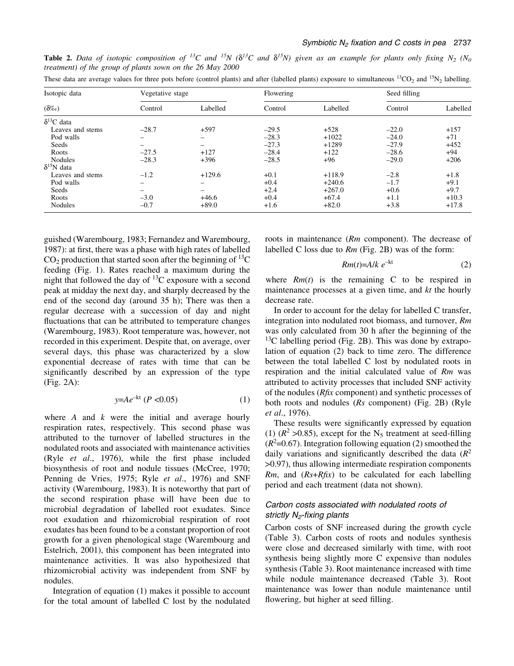| Isotopic data<br>$(\delta\%_0)$ | Vegetative stage         |          | Flowering |          | Seed filling |          |
|---------------------------------|--------------------------|----------|-----------|----------|--------------|----------|
|                                 | Control                  | Labelled | Control   | Labelled | Control      | Labelled |
| $\delta^{13}C$ data             |                          |          |           |          |              |          |
| Leaves and stems                | $-28.7$                  | $+597$   | $-29.5$   | $+528$   | $-22.0$      | $+157$   |
| Pod walls                       |                          |          | $-28.3$   | $+1022$  | $-24.0$      | $+71$    |
| Seeds                           | $\overline{\phantom{0}}$ |          | $-27.3$   | $+1289$  | $-27.9$      | $+452$   |
| Roots                           | $-27.5$                  | $+127$   | $-28.4$   | $+122$   | $-28.6$      | $+94$    |
| Nodules                         | $-28.3$                  | $+396$   | $-28.5$   | $+96$    | $-29.0$      | $+206$   |
| $\delta^{15}N$ data             |                          |          |           |          |              |          |
| Leaves and stems                | $-1.2$                   | $+129.6$ | $+0.1$    | $+118.9$ | $-2.8$       | $+1.8$   |
| Pod walls                       | -                        |          | $+0.4$    | $+240.6$ | $-1.7$       | $+9.1$   |
| Seeds                           | $\overline{\phantom{0}}$ |          | $+2.4$    | $+267.0$ | $+0.6$       | $+9.7$   |
| Roots                           | $-3.0$                   | $+46.6$  | $+0.4$    | $+67.4$  | $+1.1$       | $+10.3$  |
| Nodules                         | $-0.7$                   | $+89.0$  | $+1.6$    | $+82.0$  | $+3.8$       | $+17.8$  |

**Table 2.** Data of isotopic composition of <sup>13</sup>C and <sup>15</sup>N ( $\delta^{13}C$  and  $\delta^{15}N$ ) given as an example for plants only fixing N<sub>2</sub> (N<sub>0</sub>) treatment) of the group of plants sown on the 26 May 2000 These data are average values for three pots before (control plants) and after (labelled plants) exposure to simultaneous  $^{13}CO_2$  and  $^{15}N_2$  labelling.

guished (Warembourg, 1983; Fernandez and Warembourg, 1987): at first, there was a phase with high rates of labelled  $CO<sub>2</sub>$  production that started soon after the beginning of <sup>13</sup>C feeding (Fig. 1). Rates reached a maximum during the night that followed the day of  $^{13}$ C exposure with a second peak at midday the next day, and sharply decreased by the end of the second day (around 35 h); There was then a regular decrease with a succession of day and night fluctuations that can be attributed to temperature changes (Warembourg, 1983). Root temperature was, however, not recorded in this experiment. Despite that, on average, over several days, this phase was characterized by a slow exponential decrease of rates with time that can be significantly described by an expression of the type (Fig. 2A):

$$
y = Ae^{-kt} (P < 0.05) \tag{1}
$$

where  $A$  and  $k$  were the initial and average hourly respiration rates, respectively. This second phase was attributed to the turnover of labelled structures in the nodulated roots and associated with maintenance activities (Ryle  $et$  al., 1976), while the first phase included biosynthesis of root and nodule tissues (McCree, 1970; Penning de Vries, 1975; Ryle et al., 1976) and SNF activity (Warembourg, 1983). It is noteworthy that part of the second respiration phase will have been due to microbial degradation of labelled root exudates. Since root exudation and rhizomicrobial respiration of root exudates has been found to be a constant proportion of root growth for a given phenological stage (Warembourg and Estelrich, 2001), this component has been integrated into maintenance activities. It was also hypothesized that rhizomicrobial activity was independent from SNF by nodules.

Integration of equation (1) makes it possible to account for the total amount of labelled C lost by the nodulated

roots in maintenance (Rm component). The decrease of labelled C loss due to  $Rm$  (Fig. 2B) was of the form:

$$
Rm(t)=A/k \ e^{-kt} \tag{2}
$$

where  $Rm(t)$  is the remaining C to be respired in maintenance processes at a given time, and  $kt$  the hourly decrease rate.

In order to account for the delay for labelled C transfer, integration into nodulated root biomass, and turnover, Rm was only calculated from 30 h after the beginning of the  $^{13}$ C labelling period (Fig. 2B). This was done by extrapolation of equation (2) back to time zero. The difference between the total labelled C lost by nodulated roots in respiration and the initial calculated value of Rm was attributed to activity processes that included SNF activity of the nodules  $(Rfix \text{ component})$  and synthetic processes of both roots and nodules (Rs component) (Fig. 2B) (Ryle et al., 1976).

These results were significantly expressed by equation (1)  $(R^2 > 0.85)$ , except for the N<sub>5</sub> treatment at seed-filling  $(R<sup>2</sup>=0.67)$ . Integration following equation (2) smoothed the daily variations and significantly described the data  $(R^2)$ >0.97), thus allowing intermediate respiration components  $Rm$ , and  $(Rs+Rfix)$  to be calculated for each labelling period and each treatment (data not shown).

# Carbon costs associated with nodulated roots of strictly  $N_{2}$ -fixing plants

Carbon costs of SNF increased during the growth cycle (Table 3). Carbon costs of roots and nodules synthesis were close and decreased similarly with time, with root synthesis being slightly more C expensive than nodules synthesis (Table 3). Root maintenance increased with time while nodule maintenance decreased (Table 3). Root maintenance was lower than nodule maintenance until flowering, but higher at seed filling.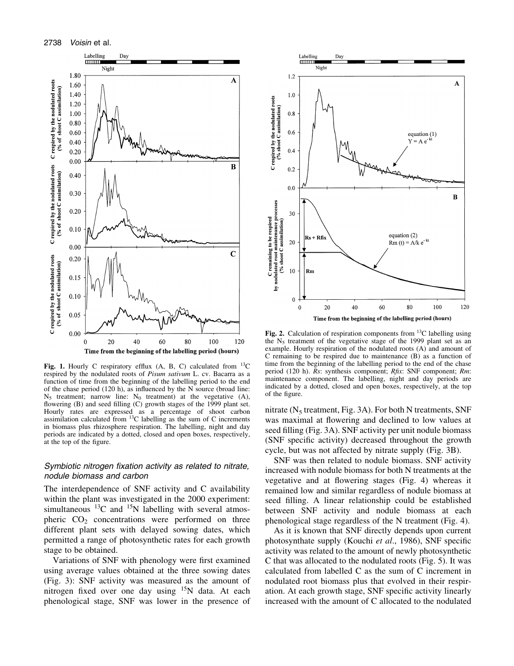

Fig. 1. Hourly C respiratory efflux (A, B, C) calculated from  $^{13}$ C respired by the nodulated roots of Pisum sativum L. cv. Bacarra as a function of time from the beginning of the labelling period to the end of the chase period  $(120 h)$ , as influenced by the N source (broad line:  $N_5$  treatment; narrow line:  $N_0$  treatment) at the vegetative  $(A)$ , flowering  $(B)$  and seed filling  $(C)$  growth stages of the 1999 plant set. Hourly rates are expressed as a percentage of shoot carbon assimilation calculated from 13C labelling as the sum of C increments in biomass plus rhizosphere respiration. The labelling, night and day periods are indicated by a dotted, closed and open boxes, respectively, at the top of the figure.

# Symbiotic nitrogen fixation activity as related to nitrate, nodule biomass and carbon

The interdependence of SNF activity and C availability within the plant was investigated in the 2000 experiment: simultaneous  $^{13}$ C and  $^{15}$ N labelling with several atmospheric  $CO<sub>2</sub>$  concentrations were performed on three different plant sets with delayed sowing dates, which permitted a range of photosynthetic rates for each growth stage to be obtained.

Variations of SNF with phenology were first examined using average values obtained at the three sowing dates (Fig. 3): SNF activity was measured as the amount of nitrogen fixed over one day using <sup>15</sup>N data. At each phenological stage, SNF was lower in the presence of



Fig. 2. Calculation of respiration components from  $^{13}$ C labelling using the  $N_5$  treatment of the vegetative stage of the 1999 plant set as an example. Hourly respiration of the nodulated roots (A) and amount of C remaining to be respired due to maintenance (B) as a function of time from the beginning of the labelling period to the end of the chase period (120 h). Rs: synthesis component; Rfix: SNF component; Rm: maintenance component. The labelling, night and day periods are indicated by a dotted, closed and open boxes, respectively, at the top of the figure.

nitrate  $(N_5$  treatment, Fig. 3A). For both N treatments, SNF was maximal at flowering and declined to low values at seed filling (Fig. 3A). SNF activity per unit nodule biomass (SNF specific activity) decreased throughout the growth cycle, but was not affected by nitrate supply (Fig. 3B).

SNF was then related to nodule biomass. SNF activity increased with nodule biomass for both N treatments at the vegetative and at flowering stages (Fig. 4) whereas it remained low and similar regardless of nodule biomass at seed filling. A linear relationship could be established between SNF activity and nodule biomass at each phenological stage regardless of the N treatment (Fig. 4).

As it is known that SNF directly depends upon current photosynthate supply (Kouchi et al., 1986), SNF specific activity was related to the amount of newly photosynthetic C that was allocated to the nodulated roots (Fig. 5). It was calculated from labelled C as the sum of C increment in nodulated root biomass plus that evolved in their respiration. At each growth stage, SNF specific activity linearly increased with the amount of C allocated to the nodulated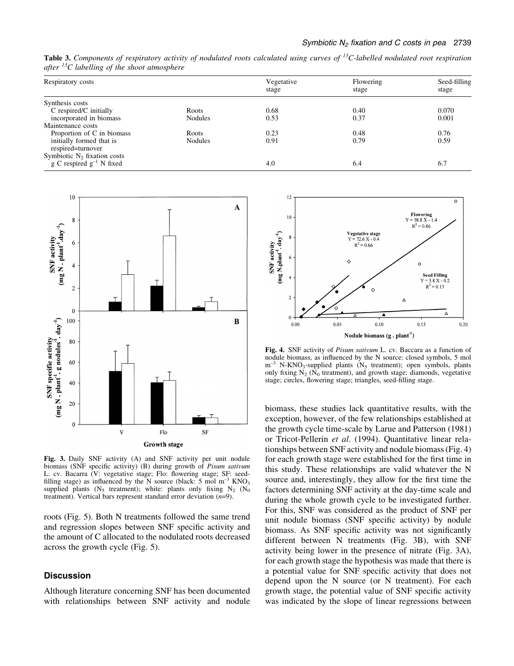Table 3. Components of respiratory activity of nodulated roots calculated using curves of <sup>13</sup>C-labelled nodulated root respiration after  ${}^{13}C$  labelling of the shoot atmosphere

| Respiratory costs                                               |                | Vegetative<br>stage | Flowering<br>stage | Seed-filling<br>stage |
|-----------------------------------------------------------------|----------------|---------------------|--------------------|-----------------------|
|                                                                 |                |                     |                    |                       |
| Synthesis costs                                                 |                |                     |                    |                       |
| C respired/C initially                                          | Roots          | 0.68                | 0.40               | 0.070                 |
| incorporated in biomass                                         | <b>Nodules</b> | 0.53                | 0.37               | 0.001                 |
| Maintenance costs                                               |                |                     |                    |                       |
| Proportion of C in biomass                                      | Roots          | 0.23                | 0.48               | 0.76                  |
| initially formed that is<br>respired=turnover                   | <b>Nodules</b> | 0.91                | 0.79               | 0.59                  |
| Symbiotic $N_2$ fixation costs<br>g C respired $g^{-1}$ N fixed |                | 4.0                 | 6.4                | 6.7                   |



Fig. 3. Daily SNF activity (A) and SNF activity per unit nodule biomass (SNF specific activity) (B) during growth of Pisum sativum L. cv. Bacarra (V: vegetative stage; Flo: flowering stage; SF: seedfilling stage) as influenced by the N source (black: 5 mol  $m^{-3}$  KNO<sub>3</sub> supplied plants ( $N_5$  treatment); white: plants only fixing  $N_2$  ( $N_0$ ) treatment). Vertical bars represent standard error deviation  $(n=9)$ .

roots (Fig. 5). Both N treatments followed the same trend and regression slopes between SNF specific activity and the amount of C allocated to the nodulated roots decreased across the growth cycle (Fig. 5).

# **Discussion**

Although literature concerning SNF has been documented with relationships between SNF activity and nodule



Fig. 4. SNF activity of Pisum sativum L. cv. Baccara as a function of nodule biomass, as influenced by the N source: closed symbols, 5 mol  $m<sup>-3</sup>$  N-KNO<sub>3</sub>-supplied plants (N<sub>5</sub> treatment); open symbols, plants only fixing  $N_2$  ( $N_0$  treatment), and growth stage: diamonds, vegetative stage; circles, flowering stage; triangles, seed-filling stage.

biomass, these studies lack quantitative results, with the exception, however, of the few relationships established at the growth cycle time-scale by Larue and Patterson (1981) or Tricot-Pellerin et al. (1994). Quantitative linear relationships between SNF activity and nodule biomass (Fig. 4) for each growth stage were established for the first time in this study. These relationships are valid whatever the N source and, interestingly, they allow for the first time the factors determining SNF activity at the day-time scale and during the whole growth cycle to be investigated further. For this, SNF was considered as the product of SNF per unit nodule biomass (SNF specific activity) by nodule biomass. As SNF specific activity was not significantly different between N treatments (Fig. 3B), with SNF activity being lower in the presence of nitrate (Fig. 3A), for each growth stage the hypothesis was made that there is a potential value for SNF specific activity that does not depend upon the N source (or N treatment). For each growth stage, the potential value of SNF specific activity was indicated by the slope of linear regressions between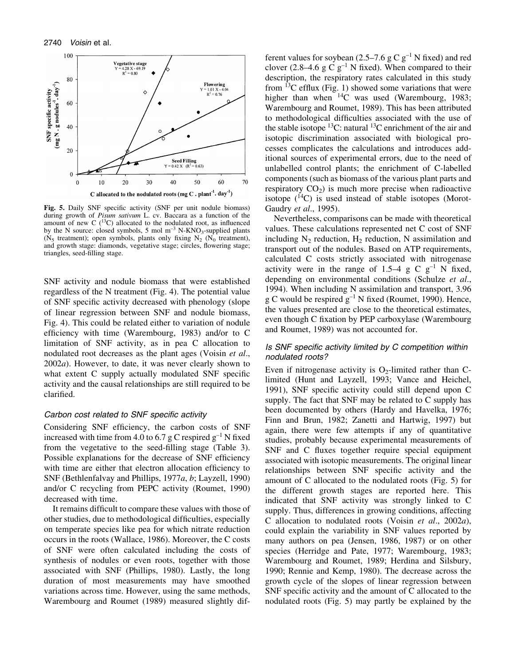

Fig. 5. Daily SNF specific activity (SNF per unit nodule biomass) during growth of Pisum sativum L. cv. Baccara as a function of the amount of new C  $(^{13}C)$  allocated to the nodulated root, as influenced by the N source: closed symbols, 5 mol  $m^{-3}$  N-KNO<sub>3</sub>-supplied plants ( $N_5$  treatment); open symbols, plants only fixing  $N_2$  ( $N_0$  treatment), and growth stage: diamonds, vegetative stage; circles, flowering stage; triangles, seed-filling stage.

SNF activity and nodule biomass that were established regardless of the N treatment (Fig. 4). The potential value of SNF specific activity decreased with phenology (slope of linear regression between SNF and nodule biomass, Fig. 4). This could be related either to variation of nodule efficiency with time (Warembourg, 1983) and/or to C limitation of SNF activity, as in pea C allocation to nodulated root decreases as the plant ages (Voisin et al., 2002a). However, to date, it was never clearly shown to what extent C supply actually modulated SNF specific activity and the causal relationships are still required to be clarified.

#### Carbon cost related to SNF specific activity

Considering SNF efficiency, the carbon costs of SNF increased with time from 4.0 to 6.7 g C respired  $g^{-1}$  N fixed from the vegetative to the seed-filling stage (Table 3). Possible explanations for the decrease of SNF efficiency with time are either that electron allocation efficiency to SNF (Bethlenfalvay and Phillips, 1977a, b; Layzell, 1990) and/or C recycling from PEPC activity (Roumet, 1990) decreased with time.

It remains difficult to compare these values with those of other studies, due to methodological difficulties, especially on temperate species like pea for which nitrate reduction occurs in the roots (Wallace, 1986). Moreover, the C costs of SNF were often calculated including the costs of synthesis of nodules or even roots, together with those associated with SNF (Phillips, 1980). Lastly, the long duration of most measurements may have smoothed variations across time. However, using the same methods, Warembourg and Roumet (1989) measured slightly dif-

ferent values for soybean (2.5–7.6 g C  $g^{-1}$  N fixed) and red clover (2.8–4.6 g C  $g^{-1}$  N fixed). When compared to their description, the respiratory rates calculated in this study from  $^{13}$ C efflux (Fig. 1) showed some variations that were higher than when <sup>14</sup>C was used (Warembourg, 1983; Warembourg and Roumet, 1989). This has been attributed to methodological difficulties associated with the use of the stable isotope  ${}^{13}C$ : natural  ${}^{13}C$  enrichment of the air and isotopic discrimination associated with biological processes complicates the calculations and introduces additional sources of experimental errors, due to the need of unlabelled control plants; the enrichment of C-labelled components (such as biomass of the various plant parts and respiratory  $CO<sub>2</sub>$ ) is much more precise when radioactive isotope  $(^{14}C)$  is used instead of stable isotopes (Morot-Gaudry et al., 1995).

Nevertheless, comparisons can be made with theoretical values. These calculations represented net C cost of SNF including  $N_2$  reduction,  $H_2$  reduction, N assimilation and transport out of the nodules. Based on ATP requirements, calculated C costs strictly associated with nitrogenase activity were in the range of 1.5 $-4$  g C g<sup>-1</sup> N fixed, depending on environmental conditions (Schulze et al., 1994). When including N assimilation and transport, 3.96 g C would be respired  $g^{-1}$  N fixed (Roumet, 1990). Hence, the values presented are close to the theoretical estimates, even though C fixation by PEP carboxylase (Warembourg and Roumet, 1989) was not accounted for.

# Is SNF specific activity limited by C competition within nodulated roots?

Even if nitrogenase activity is  $O_2$ -limited rather than Climited (Hunt and Layzell, 1993; Vance and Heichel, 1991), SNF specific activity could still depend upon C supply. The fact that SNF may be related to C supply has been documented by others (Hardy and Havelka, 1976; Finn and Brun, 1982; Zanetti and Hartwig, 1997) but again, there were few attempts if any of quantitative studies, probably because experimental measurements of SNF and C fluxes together require special equipment associated with isotopic measurements. The original linear relationships between SNF specific activity and the amount of C allocated to the nodulated roots (Fig. 5) for the different growth stages are reported here. This indicated that SNF activity was strongly linked to C supply. Thus, differences in growing conditions, affecting C allocation to nodulated roots (Voisin et al., 2002a), could explain the variability in SNF values reported by many authors on pea (Jensen, 1986, 1987) or on other species (Herridge and Pate, 1977; Warembourg, 1983; Warembourg and Roumet, 1989; Herdina and Silsbury, 1990; Rennie and Kemp, 1980). The decrease across the growth cycle of the slopes of linear regression between SNF specific activity and the amount of  $C$  allocated to the nodulated roots (Fig. 5) may partly be explained by the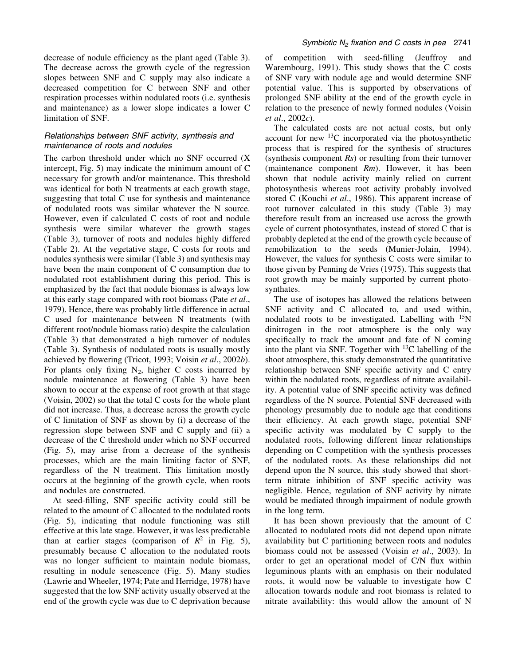decrease of nodule efficiency as the plant aged (Table 3). The decrease across the growth cycle of the regression slopes between SNF and C supply may also indicate a decreased competition for C between SNF and other respiration processes within nodulated roots (i.e. synthesis and maintenance) as a lower slope indicates a lower C limitation of SNF.

# Relationships between SNF activity, synthesis and maintenance of roots and nodules

The carbon threshold under which no SNF occurred (X intercept, Fig. 5) may indicate the minimum amount of C necessary for growth and/or maintenance. This threshold was identical for both N treatments at each growth stage, suggesting that total C use for synthesis and maintenance of nodulated roots was similar whatever the N source. However, even if calculated C costs of root and nodule synthesis were similar whatever the growth stages (Table 3), turnover of roots and nodules highly differed (Table 2). At the vegetative stage, C costs for roots and nodules synthesis were similar (Table 3) and synthesis may have been the main component of C consumption due to nodulated root establishment during this period. This is emphasized by the fact that nodule biomass is always low at this early stage compared with root biomass (Pate et al., 1979). Hence, there was probably little difference in actual C used for maintenance between N treatments (with different root/nodule biomass ratio) despite the calculation (Table 3) that demonstrated a high turnover of nodules (Table 3). Synthesis of nodulated roots is usually mostly achieved by flowering (Tricot, 1993; Voisin et al., 2002b). For plants only fixing  $N_2$ , higher C costs incurred by nodule maintenance at flowering (Table 3) have been shown to occur at the expense of root growth at that stage (Voisin, 2002) so that the total C costs for the whole plant did not increase. Thus, a decrease across the growth cycle of C limitation of SNF as shown by (i) a decrease of the regression slope between SNF and C supply and (ii) a decrease of the C threshold under which no SNF occurred (Fig. 5), may arise from a decrease of the synthesis processes, which are the main limiting factor of SNF, regardless of the N treatment. This limitation mostly occurs at the beginning of the growth cycle, when roots and nodules are constructed.

At seed-filling, SNF specific activity could still be related to the amount of C allocated to the nodulated roots (Fig. 5), indicating that nodule functioning was still effective at this late stage. However, it was less predictable than at earlier stages (comparison of  $R^2$  in Fig. 5), presumably because C allocation to the nodulated roots was no longer sufficient to maintain nodule biomass, resulting in nodule senescence (Fig. 5). Many studies (Lawrie and Wheeler, 1974; Pate and Herridge, 1978) have suggested that the low SNF activity usually observed at the end of the growth cycle was due to C deprivation because

of competition with seed-filling (Jeuffroy and Warembourg, 1991). This study shows that the C costs of SNF vary with nodule age and would determine SNF potential value. This is supported by observations of prolonged SNF ability at the end of the growth cycle in relation to the presence of newly formed nodules (Voisin et al., 2002c).

The calculated costs are not actual costs, but only account for new  $^{13}$ C incorporated via the photosynthetic process that is respired for the synthesis of structures (synthesis component  $Rs$ ) or resulting from their turnover (maintenance component  $Rm$ ). However, it has been shown that nodule activity mainly relied on current photosynthesis whereas root activity probably involved stored C (Kouchi et al., 1986). This apparent increase of root turnover calculated in this study (Table 3) may therefore result from an increased use across the growth cycle of current photosynthates, instead of stored C that is probably depleted at the end of the growth cycle because of remobilization to the seeds (Munier-Jolain, 1994). However, the values for synthesis C costs were similar to those given by Penning de Vries (1975). This suggests that root growth may be mainly supported by current photosynthates.

The use of isotopes has allowed the relations between SNF activity and C allocated to, and used within, nodulated roots to be investigated. Labelling with  $^{15}N$ dinitrogen in the root atmosphere is the only way specifically to track the amount and fate of N coming into the plant via SNF. Together with 13C labelling of the shoot atmosphere, this study demonstrated the quantitative relationship between SNF specific activity and C entry within the nodulated roots, regardless of nitrate availability. A potential value of SNF specific activity was defined regardless of the N source. Potential SNF decreased with phenology presumably due to nodule age that conditions their efficiency. At each growth stage, potential SNF specific activity was modulated by  $C$  supply to the nodulated roots, following different linear relationships depending on C competition with the synthesis processes of the nodulated roots. As these relationships did not depend upon the N source, this study showed that shortterm nitrate inhibition of SNF specific activity was negligible. Hence, regulation of SNF activity by nitrate would be mediated through impairment of nodule growth in the long term.

It has been shown previously that the amount of C allocated to nodulated roots did not depend upon nitrate availability but C partitioning between roots and nodules biomass could not be assessed (Voisin et al., 2003). In order to get an operational model of C/N flux within leguminous plants with an emphasis on their nodulated roots, it would now be valuable to investigate how C allocation towards nodule and root biomass is related to nitrate availability: this would allow the amount of N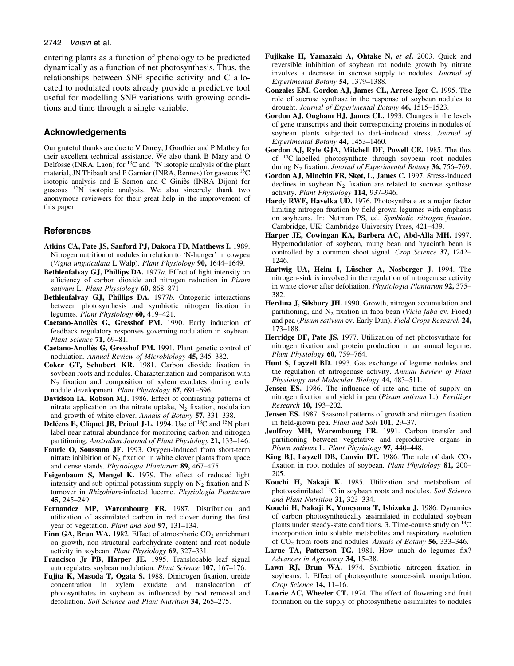#### 2742 Voisin et al.

entering plants as a function of phenology to be predicted dynamically as a function of net photosynthesis. Thus, the relationships between SNF specific activity and C allocated to nodulated roots already provide a predictive tool useful for modelling SNF variations with growing conditions and time through a single variable.

### Acknowledgements

Our grateful thanks are due to V Durey, J Gonthier and P Mathey for their excellent technical assistance. We also thank B Mary and O Delfosse (INRA, Laon) for  ${}^{13}C$  and  ${}^{15}N$  isotopic analysis of the plant material, JN Thibault and P Garnier (INRA, Rennes) for gaseous <sup>13</sup>C isotopic analysis and E Semon and C Giniès (INRA Dijon) for gaseous 15N isotopic analysis. We also sincerely thank two anonymous reviewers for their great help in the improvement of this paper.

### **References**

- Atkins CA, Pate JS, Sanford PJ, Dakora FD, Matthews I. 1989. Nitrogen nutrition of nodules in relation to `N-hunger' in cowpea (Vigna unguiculata L.Walp). Plant Physiology 90, 1644-1649.
- Bethlenfalvay GJ, Phillips DA. 1977a. Effect of light intensity on efficiency of carbon dioxide and nitrogen reduction in Pisum sativum L. Plant Physiology 60, 868-871.
- Bethlenfalvay G.J. Phillips DA. 1977b. Ontogenic interactions between photosynthesis and symbiotic nitrogen fixation in legumes. Plant Physiology 60, 419-421.
- Caetano-Anollès G, Gresshof PM. 1990. Early induction of feedback regulatory responses governing nodulation in soybean. Plant Science 71, 69-81.
- Caetano-Anollès G, Gresshof PM. 1991. Plant genetic control of nodulation. Annual Review of Microbiology 45, 345-382.
- Coker GT, Schubert KR. 1981. Carbon dioxide fixation in soybean roots and nodules. Characterization and comparison with  $N<sub>2</sub>$  fixation and composition of xylem exudates during early nodule development. Plant Physiology 67, 691-696.
- Davidson IA, Robson MJ. 1986. Effect of contrasting patterns of nitrate application on the nitrate uptake,  $N_2$  fixation, nodulation and growth of white clover. Annals of Botany 57, 331–338.
- Deléens E, Cliquet JB, Prioul J-L. 1994. Use of <sup>13</sup>C and <sup>15</sup>N plant label near natural abundance for monitoring carbon and nitrogen partitioning. Australian Journal of Plant Physiology 21, 133-146.
- Faurie O, Soussana JF. 1993. Oxygen-induced from short-term nitrate inhibition of  $N_2$  fixation in white clover plants from space and dense stands. Physiologia Plantarum 89, 467-475.
- Feigenbaum S, Mengel K. 1979. The effect of reduced light intensity and sub-optimal potassium supply on  $N_2$  fixation and N turnover in Rhizobium-infected lucerne. Physiologia Plantarum 45, 245±249.
- Fernandez MP, Warembourg FR. 1987. Distribution and utilization of assimilated carbon in red clover during the first year of vegetation. *Plant and Soil* 97, 131–134.
- Finn GA, Brun WA. 1982. Effect of atmospheric  $CO<sub>2</sub>$  enrichment on growth, non-structural carbohydrate content and root nodule activity in soybean. Plant Physiology  $69, 327-331$ .
- Francisco Jr PB, Harper JE. 1995. Translocable leaf signal autoregulates soybean nodulation. Plant Science 107, 167-176.
- Fujita K, Masuda T, Ogata S. 1988. Dinitrogen fixation, ureide concentration in xylem exudate and translocation of photosynthates in soybean as influenced by pod removal and defoliation. Soil Science and Plant Nutrition 34, 265-275.
- Fujikake H, Yamazaki A, Ohtake N, et al. 2003. Quick and reversible inhibition of soybean rot nodule growth by nitrate involves a decrease in sucrose supply to nodules. Journal of Experimental Botany 54, 1379-1388.
- Gonzales EM, Gordon AJ, James CL, Arrese-Igor C. 1995. The role of sucrose synthase in the response of soybean nodules to drought. Journal of Experimental Botany 46, 1515-1523.
- Gordon AJ, Ougham HJ, James CL. 1993. Changes in the levels of gene transcripts and their corresponding proteins in nodules of soybean plants subjected to dark-induced stress. Journal of Experimental Botany  $44$ , 1453-1460.
- Gordon AJ, Ryle GJA, Mitchell DF, Powell CE. 1985. The flux of 14C-labelled photosynthate through soybean root nodules during N<sub>2</sub> fixation. *Journal of Experimental Botany* 36, 756–769.
- Gordon AJ, Minchin FR, Skøt, L, James C. 1997. Stress-induced declines in soybean  $N_2$  fixation are related to sucrose synthase activity. Plant Physiology 114, 937-946.
- Hardy RWF, Havelka UD. 1976. Photosynthate as a major factor limiting nitrogen fixation by field-grown legumes with emphasis on soybeans. In: Nutman PS, ed. Symbiotic nitrogen fixation. Cambridge, UK: Cambridge University Press, 421-439.
- Harper JE, Cowingan KA, Barbera AC, Abd-Alla MH. 1997. Hypernodulation of soybean, mung bean and hyacinth bean is controlled by a common shoot signal. Crop Science 37, 1242-1246.
- Hartwig UA, Heim I, Lüscher A, Nosberger J. 1994. The nitrogen-sink is involved in the regulation of nitrogenase activity in white clover after defoliation. *Physiologia Plantarum* 92, 375– 382.
- Herdina J, Silsbury JH. 1990. Growth, nitrogen accumulation and partitioning, and  $N_2$  fixation in faba bean (Vicia faba cv. Fioed) and pea (Pisum sativum cv. Early Dun). Field Crops Research 24, 173±188.
- Herridge DF, Pate JS. 1977. Utilization of net photosynthate for nitrogen fixation and protein production in an annual legume. Plant Physiology 60, 759-764.
- Hunt S, Layzell BD. 1993. Gas exchange of legume nodules and the regulation of nitrogenase activity. Annual Review of Plant Physiology and Molecular Biology 44, 483-511.
- **Jensen ES.** 1986. The influence of rate and time of supply on nitrogen fixation and yield in pea (Pisum sativum L.). Fertilizer Research 10, 193-202.
- Jensen ES. 1987. Seasonal patterns of growth and nitrogen fixation in field-grown pea. Plant and Soil 101, 29-37.
- Jeuffroy MH, Warembourg FR. 1991. Carbon transfer and partitioning between vegetative and reproductive organs in Pisum sativum L. Plant Physiology 97, 440-448.
- King BJ, Layzell DB, Canvin DT. 1986. The role of dark  $CO<sub>2</sub>$ fixation in root nodules of soybean. Plant Physiology  $81, 200$ 205.
- Kouchi H, Nakaji K. 1985. Utilization and metabolism of photoassimilated  $^{13}$ C in soybean roots and nodules. Soil Science and Plant Nutrition 31, 323-334.
- Kouchi H, Nakaji K, Yoneyama T, Ishizuka J. 1986. Dynamics of carbon photosynthetically assimilated in nodulated soybean plants under steady-state conditions. 3. Time-course study on  ${}^{14}C$ incorporation into soluble metabolites and respiratory evolution of  $CO<sub>2</sub>$  from roots and nodules. Annals of Botany 56, 333–346.
- Larue TA, Patterson TG. 1981. How much do legumes  $fix?$ Advances in Agronomy 34, 15-38.
- Lawn RJ, Brun WA. 1974. Symbiotic nitrogen fixation in soybeans. I. Effect of photosynthate source-sink manipulation. Crop Science  $14$ ,  $11-16$ .
- Lawrie AC, Wheeler CT, 1974. The effect of flowering and fruit formation on the supply of photosynthetic assimilates to nodules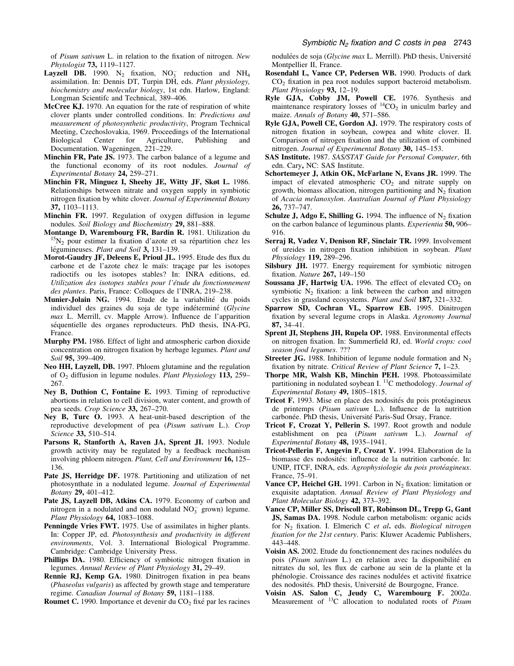of *Pisum sativum* L. in relation to the fixation of nitrogen. New Phytologist 73, 1119-1127.

- **Layzell DB.** 1990. N<sub>2</sub> fixation, NO<sub>3</sub> reduction and NH<sub>4</sub> assimilation. In: Dennis DT, Turpin DH, eds. Plant physiology, biochemistry and molecular biology, 1st edn. Harlow, England: Longman Scientifc and Technical, 389-406.
- McCree KJ. 1970. An equation for the rate of respiration of white clover plants under controlled conditions. In: Predictions and measurement of photosynthetic productivity, Program Technical Meeting, Czechoslovakia, 1969. Proceedings of the International Biological Center for Agriculture, Publishing and Documentation. Wageningen, 221-229.
- Minchin FR, Pate JS. 1973. The carbon balance of a legume and the functional economy of its root nodules. Journal of Experimental Botany  $24$ ,  $259-271$ .
- Minchin FR, Minguez I, Sheehy JE, Witty JF, Skøt L. 1986. Relationships between nitrate and oxygen supply in symbiotic nitrogen fixation by white clover. Journal of Experimental Botany 37, 1103-1113.
- Minchin FR. 1997. Regulation of oxygen diffusion in legume nodules. Soil Biology and Biochemistry 29, 881-888.
- **Montange D, Warembourg FR, Bardin R.** 1981. Utilization du <sup>15</sup>N<sub>2</sub> pour estimer la fixation d'azote et sa répartition chez les légumineuses. Plant and Soil 3, 131-139.
- Morot-Gaudry JF, Deleens E, Prioul JL. 1995. Etude des flux du carbone et de l'azote chez le maïs: traçage par les isotopes radioctifs ou les isotopes stables? In: INRA editions, ed. Utilization des isotopes stables pour l'étude du fonctionnement des plantes. Paris, France: Colloques de l'INRA, 219-238.
- Munier-Jolain NG. 1994. Etude de la variabilité du poids individuel des graines du soja de type indéterminé (Glycine  $max$  L. Merrill, cv. Mapple Arrow). Influence de l'apparition séquentielle des organes reproducteurs. PhD thesis, INA-PG, France.
- Murphy PM. 1986. Effect of light and atmospheric carbon dioxide concentration on nitrogen fixation by herbage legumes. Plant and Soil 95, 399-409.
- Neo HH, Layzell, DB. 1997. Phloem glutamine and the regulation of  $O<sub>2</sub>$  diffusion in legume nodules. *Plant Physiology* 113, 259– 267.
- Ney B, Duthion C, Fontaine E. 1993. Timing of reproductive abortions in relation to cell division, water content, and growth of pea seeds. Crop Science 33, 267-270.
- Ney B, Turc O. 1993. A heat-unit-based description of the reproductive development of pea (Pisum sativum L.). Crop Science 33, 510-514.
- Parsons R, Stanforth A, Raven JA, Sprent JI. 1993. Nodule growth activity may be regulated by a feedback mechanism involving phloem nitrogen. Plant, Cell and Environment 16, 125-136.
- Pate JS, Herridge DF. 1978. Partitioning and utilization of net photosynthate in a nodulated legume. Journal of Experimental Botany 29, 401-412.
- Pate JS, Layzell DB, Atkins CA. 1979. Economy of carbon and nitrogen in a nodulated and non nodulatd  $NO_3^-$  grown) legume. Plant Physiology 64, 1083-1088.
- Penningde Vries FWT. 1975. Use of assimilates in higher plants. In: Copper JP, ed. Photosynthesis and productivity in different environments, Vol. 3. International Biological Programme. Cambridge: Cambridge University Press.
- Phillips DA. 1980. Efficiency of symbiotic nitrogen fixation in legumes. Annual Review of Plant Physiology 31, 29–49.
- Rennie RJ, Kemp GA. 1980. Dinitrogen fixation in pea beans (Phaseolus vulgaris) as affected by growth stage and temperature regime. Canadian Journal of Botany 59, 1181-1188.

Roumet C. 1990. Importance et devenir du  $CO<sub>2</sub>$  fixé par les racines

nodulées de soja (Glycine max L. Merrill). PhD thesis, Université Montpellier II, France.

- Rosendahl L, Vance CP, Pedersen WB. 1990. Products of dark  $CO<sub>2</sub>$  fixation in pea root nodules support bacteroid metabolism. Plant Physiology 93, 12-19.
- Ryle GJA, Cobby JM, Powell CE. 1976. Synthesis and maintenance respiratory losses of  ${}^{14}CO_2$  in uniculm barley and maize. Annals of Botany  $40, 571-586$ .
- Ryle GJA, Powell CE, Gordon AJ. 1979. The respiratory costs of nitrogen fixation in soybean, cowpea and white clover. II. Comparison of nitrogen fixation and the utilization of combined nitrogen. Journal of Experimental Botany  $30$ , 145-153.
- SAS Institute. 1987. SAS/STAT Guide for Personal Computer, 6th edn. Cary, NC: SAS Institute.
- Schortemeyer J, Atkin OK, McFarlane N, Evans JR. 1999. The impact of elevated atmospheric  $CO<sub>2</sub>$  and nitrate supply on growth, biomass allocation, nitrogen partitioning and  $N<sub>2</sub>$  fixation of Acacia melanoxylon. Australian Journal of Plant Physiology 26, 737±747.
- Schulze J, Adgo E, Shilling G. 1994. The influence of  $N_2$  fixation on the carbon balance of leguminous plants. Experientia 50, 906– 916.
- Serraj R, Vadez V, Denison RF, Sinclair TR. 1999. Involvement of ureides in nitrogen fixation inhibition in soybean. Plant Physiology 119, 289-296.
- Silsbury JH. 1977. Energy requirement for symbiotic nitrogen fixation. Nature 267, 149-150
- Soussana JF, Hartwig UA. 1996. The effect of elevated  $CO<sub>2</sub>$  on symbiotic  $N_2$  fixation: a link between the carbon and nitrogen cycles in grassland ecosystems. Plant and Soil 187, 321–332.
- Sparrow SD, Cochran VL, Sparrow EB. 1995. Dinitrogen fixation by several legume crops in Alaska. Agronomy Journal 87, 34±41.
- Sprent JI, Stephens JH, Rupela OP. 1988. Environmental effects on nitrogen fixation. In: Summerfield RJ, ed. World crops: cool season food legumes. ???
- **Streeter JG.** 1988. Inhibition of legume nodule formation and  $N_2$ fixation by nitrate. Critical Review of Plant Science 7, 1-23.
- Thorpe MR, Walsh KB, Minchin PEH. 1998. Photoassimilate partitioning in nodulated soybean I.  $^{11}$ C methodology. Journal of Experimental Botany  $49, 1805-1815$ .
- Tricot F. 1993. Mise en place des nodosités du pois protéagineux de printemps (Pisum sativum L.). Influence de la nutrition carbonée. PhD thesis, Université Paris-Sud Orsay, France.
- Tricot F, Crozat Y, Pellerin S. 1997. Root growth and nodule establishment on pea (Pisum sativum L.). Journal of Experimental Botany  $48, 1935-1941$ .
- Tricot-Pellerin F, Angevin F, Crozat Y. 1994. Elaboration de la biomasse des nodosités: influence de la nutrition carbonée. In: UNIP, ITCF, INRA, eds. Agrophysiologie du pois protéagineux. France, 75-91.
- Vance CP, Heichel GH. 1991. Carbon in  $N<sub>2</sub>$  fixation: limitation or exquisite adaptation. Annual Review of Plant Physiology and Plant Molecular Biology 42, 373-392.
- Vance CP, Miller SS, Driscoll BT, Robinson DL, Trepp G, Gant JS, Samas DA. 1998. Nodule carbon metabolism: organic acids for  $N_2$  fixation. I. Elmerich C et al. eds. Biological nitrogen fixation for the 21st century. Paris: Kluwer Academic Publishers, 443±448.
- Voisin AS. 2002. Etude du fonctionnement des racines nodulées du pois (Pisum sativum L.) en relation avec la disponibilité en nitrates du sol, les flux de carbone au sein de la plante et la phénologie. Croissance des racines nodulées et activité fixatrice des nodosités. PhD thesis, Université de Bourgogne, France.
- Voisin AS. Salon C, Jeudy C, Warembourg F. 2002a. Measurement of  ${}^{13}C$  allocation to nodulated roots of *Pisum*